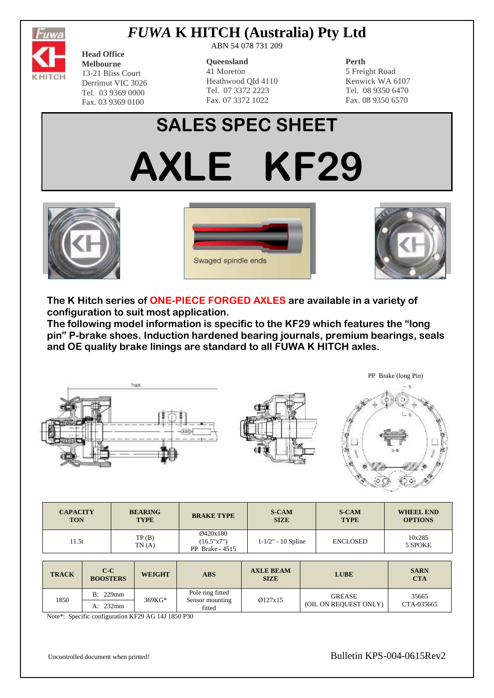

## *FUWA* **K HITCH (Australia) Pty Ltd**

**Head Office Melbourne** 13-21 Bliss Court Derrimut VIC 3026 Tel. 03 9369 0000 Fax. 03 9369 0100

ABN 54 078 731 209

#### **Queensland**

41 Moreton Heathwood Qld 4110 Tel. 07 3372 2223 Fax. 07 3372 1022

### **Perth**

5 Freight Road Kenwick WA 6107 Tel. 08 9350 6470 Fax. 08 9350 6570

# **SALES SPEC SHEET**

**AXLE KF29**







**The K Hitch series of ONE-PIECE FORGED AXLES are available in a variety of configuration to suit most application.**

**The following model information is specific to the KF29 which features the "long pin" P-brake shoes. Induction hardened bearing journals, premium bearings, seals and OE quality brake linings are standard to all FUWA K HITCH axles.**



| <b>CAPACITY</b><br><b>TON</b> |                          | <b>BEARING</b><br><b>TYPE</b> |                | <b>BRAKE TYPE</b>                          | <b>S-CAM</b><br><b>SIZE</b>     |  | <b>S-CAM</b><br><b>TYPE</b>                                            | <b>WHEEL END</b><br><b>OPTIONS</b> |
|-------------------------------|--------------------------|-------------------------------|----------------|--------------------------------------------|---------------------------------|--|------------------------------------------------------------------------|------------------------------------|
| 11.5t                         |                          |                               | TP(B)<br>TN(A) | Ø420x180<br>(16.5"x7")<br>PP Brake $-4515$ | $1 - 1/2" - 10$ Spline          |  | <b>ENCLOSED</b>                                                        | 10x285<br>5 SPOKE                  |
|                               |                          |                               |                |                                            |                                 |  |                                                                        |                                    |
| <b>TRACK</b>                  | $C-C$<br><b>BOOSTERS</b> |                               | <b>WEIGHT</b>  | <b>ABS</b>                                 | <b>AXLE BEAM</b><br><b>SIZE</b> |  | <b>LUBE</b>                                                            | <b>SARN</b><br><b>CTA</b>          |
| 1850                          | B: 229mm                 |                               | 369KG*         | Pole ring fitted<br>Sensor mounting        | Ø127x15                         |  | <b>GREASE</b><br>$(0, 1)$ $(0, 1)$ $(1, 1)$ $(0, 1)$ $(0, 1)$ $(0, 1)$ | 35665                              |

A:  $232 \text{mm}$   $\qquad \qquad$   $\qquad$   $\qquad$   $\qquad$   $\qquad$   $\qquad$   $\qquad$   $\qquad$   $\qquad$   $\qquad$   $\qquad$   $\qquad$   $\qquad$   $\qquad$   $\qquad$   $\qquad$   $\qquad$   $\qquad$   $\qquad$   $\qquad$   $\qquad$   $\qquad$   $\qquad$   $\qquad$   $\qquad$   $\qquad$   $\qquad$   $\qquad$   $\qquad$   $\qquad$   $\qquad$   $\qquad$   $\qquad$   $\qquad$ 

fitted

Note\*: Specific configuration KF29 AG 14J 1850 P30

Uncontrolled document when printed!<br>
Bulletin KPS-004-0615Rev2